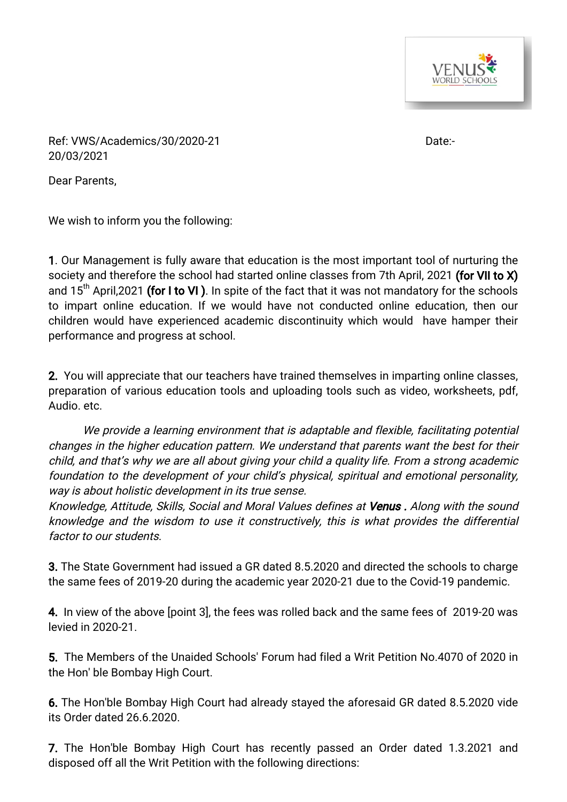

Ref: VWS/Academics/30/2020-21 Date:-20/03/2021

Dear Parents,

We wish to inform you the following:

1. Our Management is fully aware that education is the most important tool of nurturing the society and therefore the school had started online classes from 7th April, 2021 (for VII to X) and  $15<sup>th</sup>$  April,2021 (for I to VI). In spite of the fact that it was not mandatory for the schools to impart online education. If we would have not conducted online education, then our children would have experienced academic discontinuity which would have hamper their performance and progress at school.

2. You will appreciate that our teachers have trained themselves in imparting online classes, preparation of various education tools and uploading tools such as video, worksheets, pdf, Audio. etc.

We provide a learning environment that is adaptable and flexible, facilitating potential changes in the higher education pattern. We understand that parents want the best for their child, and that's why we are all about giving your child a quality life. From a strong academic foundation to the development of your child's physical, spiritual and emotional personality, way is about holistic development in its true sense.

Knowledge, Attitude, Skills, Social and Moral Values defines at Venus. Along with the sound knowledge and the wisdom to use it constructively, this is what provides the differential factor to our students.

**3.** The State Government had issued a GR dated 8.5.2020 and directed the schools to charge the same fees of 2019-20 during the academic year 2020-21 due to the Covid-19 pandemic.

4. In view of the above [point 3], the fees was rolled back and the same fees of 2019-20 was levied in 2020-21.

5. The Members of the Unaided Schools' Forum had filed a Writ Petition No.4070 of 2020 in the Hon' ble Bombay High Court.

6. The Hon'ble Bombay High Court had already stayed the aforesaid GR dated 8.5.2020 vide its Order dated 26.6.2020.

7. The Hon'ble Bombay High Court has recently passed an Order dated 1.3.2021 and disposed off all the Writ Petition with the following directions: